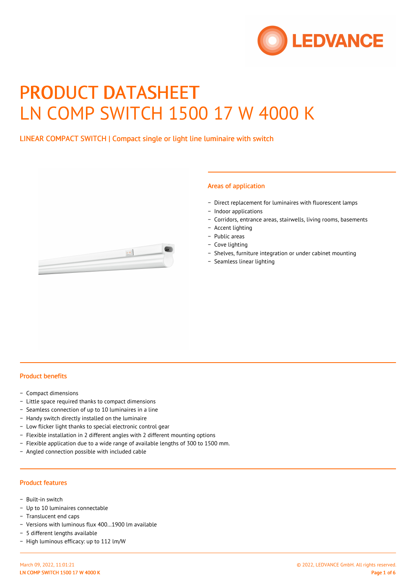

# PRODUCT DATASHEET LN COMP SWITCH 1500 17 W 4000 K

# LINEAR COMPACT SWITCH | Compact single or light line luminaire with switch



#### Areas of application

- − Direct replacement for luminaires with fluorescent lamps
- − Indoor applications
- − Corridors, entrance areas, stairwells, living rooms, basements
- − Accent lighting
- − Public areas
- − Cove lighting
- − Shelves, furniture integration or under cabinet mounting
- − Seamless linear lighting

### Product benefits

- − Compact dimensions
- − Little space required thanks to compact dimensions
- − Seamless connection of up to 10 luminaires in a line
- − Handy switch directly installed on the luminaire
- − Low flicker light thanks to special electronic control gear
- − Flexible installation in 2 different angles with 2 different mounting options
- − Flexible application due to a wide range of available lengths of 300 to 1500 mm.
- − Angled connection possible with included cable

#### Product features

- − Built-in switch
- − Up to 10 luminaires connectable
- − Translucent end caps
- − Versions with luminous flux 400…1900 lm available
- − 5 different lengths available
- − High luminous efficacy: up to 112 lm/W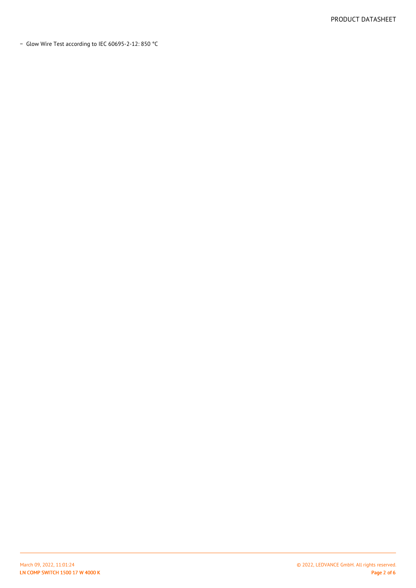− Glow Wire Test according to IEC 60695-2-12: 850 °C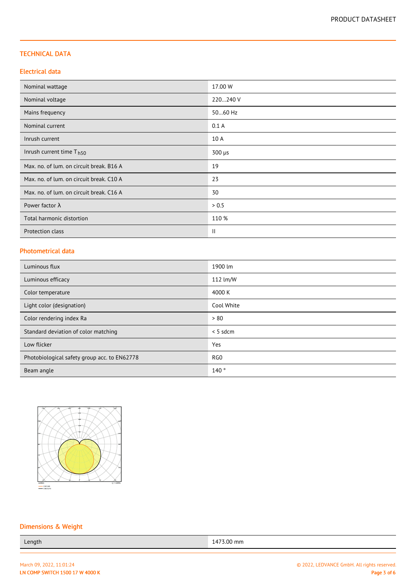## TECHNICAL DATA

## Electrical data

| Nominal wattage                          | 17.00 W       |
|------------------------------------------|---------------|
| Nominal voltage                          | 220240 V      |
| Mains frequency                          | 5060 Hz       |
| Nominal current                          | 0.1A          |
| Inrush current                           | 10 A          |
| Inrush current time $Th50$               | $300 \mu s$   |
| Max. no. of lum. on circuit break. B16 A | 19            |
| Max. no. of lum. on circuit break. C10 A | 23            |
| Max. no. of lum. on circuit break. C16 A | 30            |
| Power factor $\lambda$                   | > 0.5         |
| Total harmonic distortion                | 110 %         |
| Protection class                         | $\mathbf{  }$ |

## Photometrical data

| Luminous flux                                | 1900 lm         |
|----------------------------------------------|-----------------|
| Luminous efficacy                            | 112 lm/W        |
| Color temperature                            | 4000 K          |
| Light color (designation)                    | Cool White      |
| Color rendering index Ra                     | > 80            |
| Standard deviation of color matching         | $< 5$ sdcm      |
| Low flicker                                  | Yes             |
| Photobiological safety group acc. to EN62778 | RG <sub>0</sub> |
| Beam angle                                   | 140°            |



# Dimensions & Weight

Length 1473.00 mm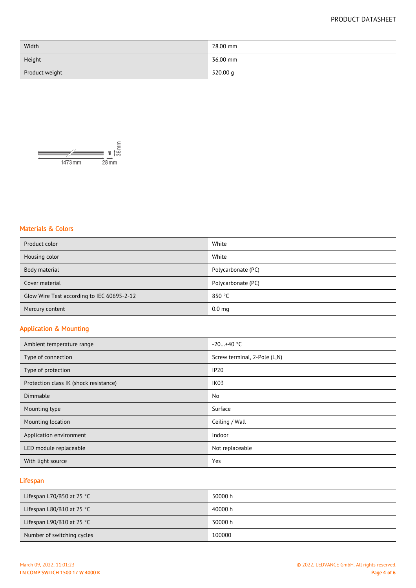# PRODUCT DATASHEET

| Width          | 28.00 mm |
|----------------|----------|
| Height         | 36.00 mm |
| Product weight | 520.00 g |



# Materials & Colors

| Product color                              | White              |
|--------------------------------------------|--------------------|
| Housing color                              | White              |
| Body material                              | Polycarbonate (PC) |
| Cover material                             | Polycarbonate (PC) |
| Glow Wire Test according to IEC 60695-2-12 | 850 °C             |
| Mercury content                            | 0.0 <sub>mg</sub>  |

# Application & Mounting

| Ambient temperature range              | $-20+40$ °C                  |
|----------------------------------------|------------------------------|
| Type of connection                     | Screw terminal, 2-Pole (L,N) |
| Type of protection                     | <b>IP20</b>                  |
| Protection class IK (shock resistance) | IK <sub>03</sub>             |
| Dimmable                               | No                           |
| Mounting type                          | Surface                      |
| Mounting location                      | Ceiling / Wall               |
| Application environment                | Indoor                       |
| LED module replaceable                 | Not replaceable              |
| With light source                      | Yes                          |

# Lifespan

| Lifespan L70/B50 at 25 $^{\circ}$ C | 50000 h |
|-------------------------------------|---------|
| Lifespan L80/B10 at 25 $^{\circ}$ C | 40000 h |
| Lifespan L90/B10 at 25 $^{\circ}$ C | 30000 h |
| Number of switching cycles          | 100000  |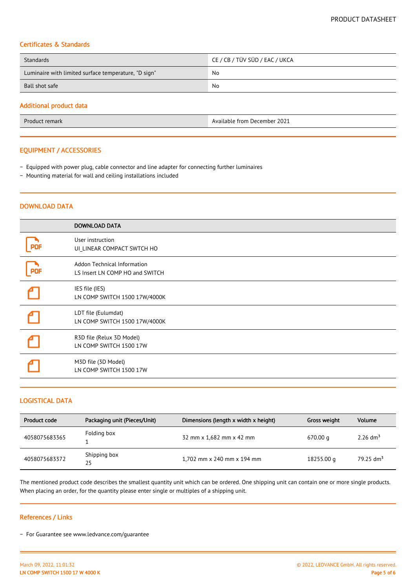## Certificates & Standards

| Standards                                            | CE / CB / TÜV SÜD / EAC / UKCA |  |
|------------------------------------------------------|--------------------------------|--|
| Luminaire with limited surface temperature, "D sign" | No                             |  |
| Ball shot safe                                       | No                             |  |
|                                                      |                                |  |

## Additional product data

#### EQUIPMENT / ACCESSORIES

- − Equipped with power plug, cable connector and line adapter for connecting further luminaires
- − Mounting material for wall and ceiling installations included

### DOWNLOAD DATA

|            | <b>DOWNLOAD DATA</b>                                                  |
|------------|-----------------------------------------------------------------------|
|            | User instruction<br>UI LINEAR COMPACT SWTCH HO                        |
| <b>PDF</b> | <b>Addon Technical Information</b><br>LS Insert LN COMP HO and SWITCH |
|            | IES file (IES)<br>LN COMP SWITCH 1500 17W/4000K                       |
|            | LDT file (Eulumdat)<br>LN COMP SWITCH 1500 17W/4000K                  |
|            | R3D file (Relux 3D Model)<br>LN COMP SWITCH 1500 17W                  |
|            | M3D file (3D Model)<br>LN COMP SWITCH 1500 17W                        |

## LOGISTICAL DATA

| Product code  | Packaging unit (Pieces/Unit) | Dimensions (length x width x height) | Gross weight | Volume                  |
|---------------|------------------------------|--------------------------------------|--------------|-------------------------|
| 4058075683365 | Folding box                  | 32 mm x 1,682 mm x 42 mm             | 670.00 g     | 2.26 dm <sup>3</sup>    |
| 4058075683372 | Shipping box<br>25           | 1,702 mm x 240 mm x 194 mm           | 18255.00 g   | $79.25$ dm <sup>3</sup> |

The mentioned product code describes the smallest quantity unit which can be ordered. One shipping unit can contain one or more single products. When placing an order, for the quantity please enter single or multiples of a shipping unit.

#### References / Links

− For Guarantee see www.ledvance.com/guarantee